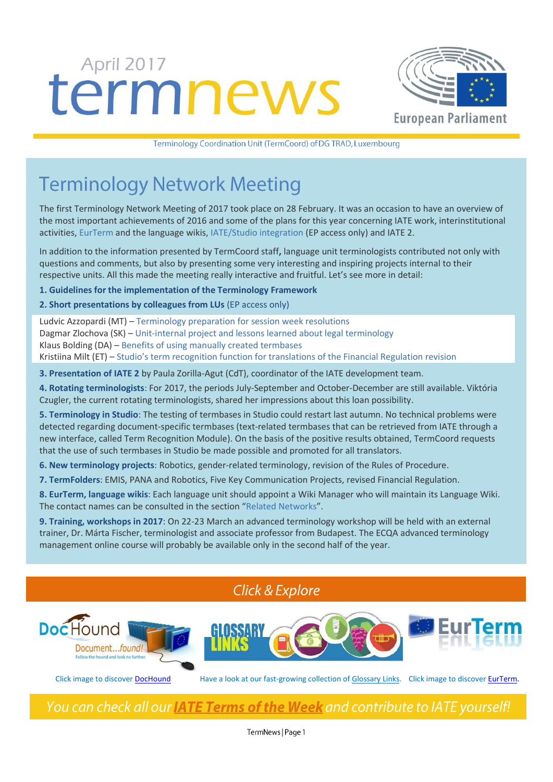# termnews



Terminology Coordination Unit (TermCoord) of DG TRAD, Luxembourg

# **Terminology Network Meeting**

The first Terminology Network Meeting of 2017 took place on 28 February. It was an occasion to have an overview of the most important achievements of 2016 and some of the plans for this year concerning IATE work, interinstitutional activities, [EurTerm](https://webgate.ec.europa.eu/fpfis/wikis/display/iatetp/Home) and the language wikis[, IATE/Studio integration](http://tradportal.ep.parl.union.eu/terminology/terminology-in-studio/) (EP access only) and IATE 2.

In addition to the information presented by TermCoord staff**,** language unit terminologists contributed not only with questions and comments, but also by presenting some very interesting and inspiring projects internal to their respective units. All this made the meeting really interactive and fruitful. Let's see more in detail:

**1. Guidelines for the implementation of the Terminology Framework**

#### **2. Short presentations by colleagues from LUs** (EP access only)

 Ludvic Azzopardi (MT) – [Terminology preparation for session week resolutions](http://tradportal.ep.parl.union.eu/terminology/files/2017/03/Ludvic_Azzopardi_Terminology_for_resolutions.pdf) Dagmar Zlochova (SK) – [Unit-internal project and lessons learned about legal terminology](http://tradportal.ep.parl.union.eu/terminology/files/2017/03/Dagmar_Zlochova_Legal_terminology_project.pdf) Klaus Bolding (DA) – [Benefits of using manually created termbases](http://tradportal.ep.parl.union.eu/terminology/files/2017/03/Klaus_Bolding_DA_Thematic_Termbases.pdf) Kristiina Milt (ET) – [Studio's term recognition function for translations of the Financial Regulation revision](http://tradportal.ep.parl.union.eu/terminology/files/2017/03/Kristiina_Milt_Studio_term_recognition_-FinReg.pdf)

**3. [Presentation of IATE 2](http://tradportal.ep.parl.union.eu/terminology/files/2017/03/CdT-IATE-2_EP.pdf)** by Paula Zorilla-Agut (CdT), coordinator of the IATE development team.

**4. Rotating terminologists**: For 2017, the periods July-September and October-December are still available. Viktória Czugler, the current rotating terminologists, shared her impressions about this loan possibility.

**5. Terminology in Studio**: The testing of termbases in Studio could restart last autumn. No technical problems were detected regarding document-specific termbases (text-related termbases that can be retrieved from IATE through a new interface, called Term Recognition Module). On the basis of the positive results obtained, TermCoord requests that the use of such termbases in Studio be made possible and promoted for all translators.

**6. New terminology projects**: Robotics, gender-related terminology, revision of the Rules of Procedure.

**7. TermFolders**: EMIS, PANA and Robotics, Five Key Communication Projects, revised Financial Regulation.

**8. EurTerm, language wikis**: Each language unit should appoint a Wiki Manager who will maintain its Language Wiki. The contact names can be consulted in the section "[Related Networks](https://webgate.ec.europa.eu/fpfis/wikis/display/iatetp/Related+Networks)".

**9. Training, workshops in 2017**: On 22-23 March an advanced terminology workshop will be held with an external trainer, Dr. Márta Fischer, terminologist and associate professor from Budapest. The ECQA advanced terminology management online course will probably be available only in the second half of the year.

## **Click & Explore**



Click image to discove[r DocHound](http://termcoord.eu/dochound/) Have a look at our fast-growing collection of [Glossary Links.](http://termcoord.eu/glossarylinks/) Click image to discove[r EurTerm.](https://webgate.ec.europa.eu/fpfis/wikis/pages/viewpage.action?ticket=ST-6580996-Z2WF2iTmYsR9lUn0vKlUJpe2tfaCmxuR1LujKNHYxCmXvIpB7PF223nNagmte6tqBS8TCUEebRtFJyZjna80NW-Jj71zxYb8yrHGgJfkcIzza0-mU0zxIStw7CIy1roHRSnGFAw3NTBsqW1CglIL2lldAv&spaceKey=iatetp&title=Home)

# You can check all our **IATE Terms of the Week** and contribute to IATE yourself!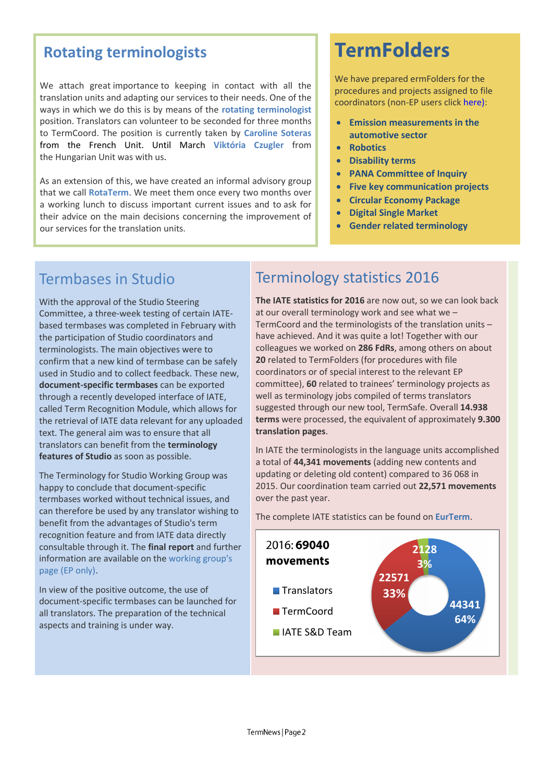# **[Rotating terminologists](http://tradportal.ep.parl.union.eu/terminology/call-for-rotating-terminologist-for-2017/)**

We attach great importance to keeping in contact with all the translation units and adapting our services to their needs. One of the ways in which we do this is by means of the **rotating terminologist** position. Translators can volunteer to be seconded for three months to TermCoord. The position is currently taken by **Caroline Soteras** from the French Unit. Until March **Viktória Czugler** from the Hungarian Unit was with us.

As an extension of this, we have created an informal advisory group that we call **RotaTerm**. We meet them once every two months over a working lunch to discuss important current issues and to ask for their advice on the main decisions concerning the improvement of our services for the translation units.

# **TermFolders**

We have prepared ermFolders for the procedures and projects assigned to file coordinators (non-EP users click [here\)](http://termcoord.eu/iate/termfolders/):

- **[Emission measurements in the](http://tradportal.ep.parl.union.eu/terminology/plato-termfolders/emis-committee-of-inquiry/)  [automotive sector](http://tradportal.ep.parl.union.eu/terminology/plato-termfolders/emis-committee-of-inquiry/)**
- **[Robotics](http://tradportal.ep.parl.union.eu/terminology/plato-termfolders/robotics-20152103inl/)**
- **[Disability terms](http://tradportal.ep.parl.union.eu/terminology/plato-termfolders/disability-terminology-20162952rsp/)**
- **[PANA Committee of Inquiry](http://tradportal.ep.parl.union.eu/terminology/plato-termfolders/pana-committee-of-inquiry-20172013ini/)**
- **[Five key communication projects](http://tradportal.ep.parl.union.eu/terminology/plato-termfolders/five-key-communication-projects/)**
- **[Circular Economy Package](http://tradportal.ep.parl.union.eu/terminology/plato-termfolders/circular-economy-package-20150272cod-20150274cod-20150275cod/)**
- **[Digital Single Market](http://tradportal.ep.parl.union.eu/terminology/plato-termfolders/20150284-0287-0288cod/)**
- **[Gender related terminology](http://tradportal.ep.parl.union.eu/terminology/plato-termfolders/gender-sensitive-terminology/)**

# Termbases in Studio

With the approval of the Studio Steering Committee, a three-week testing of certain IATEbased termbases was completed in February with the participation of Studio coordinators and terminologists. The main objectives were to confirm that a new kind of termbase can be safely used in Studio and to collect feedback. These new, **document-specific termbases** can be exported through a recently developed interface of IATE, called Term Recognition Module, which allows for the retrieval of IATE data relevant for any uploaded text. The general aim was to ensure that all translators can benefit from the **terminology features of Studio** as soon as possible.

The Terminology for Studio Working Group was happy to conclude that document-specific termbases worked without technical issues, and can therefore be used by any translator wishing to benefit from the advantages of Studio's term recognition feature and from IATE data directly consultable through it. The **final report** and further information are available on the [working group's](http://tradportal.ep.parl.union.eu/terminology/terminology-in-studio/termbase-testing-pilot-jan-febr-2017/)  [page](http://tradportal.ep.parl.union.eu/terminology/terminology-in-studio/termbase-testing-pilot-jan-febr-2017/) (EP only).

In view of the positive outcome, the use of document-specific termbases can be launched for all translators. The preparation of the technical aspects and training is under way.

# [Terminology statistics 2016](http://tradportal.ep.parl.union.eu/terminology/terminology-statistics-2016/)

**The IATE statistics for 2016** are now out, so we can look back at our overall terminology work and see what we – TermCoord and the terminologists of the translation units – have achieved. And it was quite a lot! Together with our colleagues we worked on **286 FdRs**, among others on about **20** related to TermFolders (for procedures with file coordinators or of special interest to the relevant EP committee), **60** related to trainees' terminology projects as well as terminology jobs compiled of terms translators suggested through our new tool, TermSafe. Overall **14.938 terms** were processed, the equivalent of approximately **9.300 translation pages**.

In IATE the terminologists in the language units accomplished a total of **44,341 movements** (adding new contents and updating or deleting old content) compared to 36 068 in 2015. Our coordination team carried out **22,571 movements** over the past year.

The complete IATE statistics can be found on **[EurTerm](https://webgate.ec.europa.eu/fpfis/wikis/display/iatetp/IATE+statistics)**.